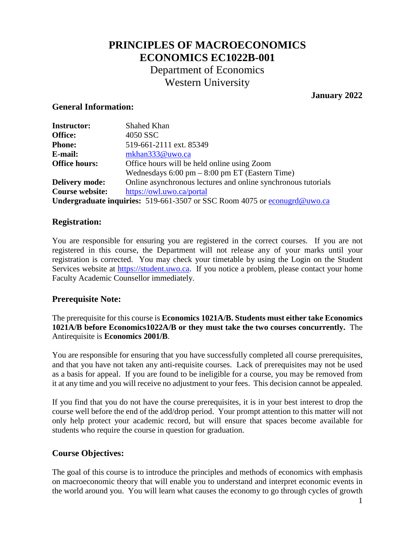# **PRINCIPLES OF MACROECONOMICS ECONOMICS EC1022B-001** Department of Economics Western University

#### **January 2022**

#### **General Information:**

| <b>Instructor:</b>                                                        | Shahed Khan                                                              |  |  |
|---------------------------------------------------------------------------|--------------------------------------------------------------------------|--|--|
| Office:                                                                   | 4050 SSC                                                                 |  |  |
| <b>Phone:</b>                                                             | 519-661-2111 ext. 85349                                                  |  |  |
| E-mail:                                                                   | mkhan333@uwo.ca                                                          |  |  |
| <b>Office hours:</b>                                                      | Office hours will be held online using Zoom                              |  |  |
|                                                                           | Wednesdays $6:00 \text{ pm} - 8:00 \text{ pm} \text{ ET}$ (Eastern Time) |  |  |
| <b>Delivery mode:</b>                                                     | Online asynchronous lectures and online synchronous tutorials            |  |  |
| <b>Course website:</b>                                                    | https://owl.uwo.ca/portal                                                |  |  |
| Undergraduate inquiries: 519-661-3507 or SSC Room 4075 or econugra@uwo.ca |                                                                          |  |  |

#### **Registration:**

You are responsible for ensuring you are registered in the correct courses. If you are not registered in this course, the Department will not release any of your marks until your registration is corrected. You may check your timetable by using the Login on the Student Services website at [https://student.uwo.ca.](https://student.uwo.ca/) If you notice a problem, please contact your home Faculty Academic Counsellor immediately.

#### **Prerequisite Note:**

The prerequisite for this course is **Economics 1021A/B. Students must either take Economics 1021A/B before Economics1022A/B or they must take the two courses concurrently.** The Antirequisite is **Economics 2001/B**.

You are responsible for ensuring that you have successfully completed all course prerequisites, and that you have not taken any anti-requisite courses. Lack of prerequisites may not be used as a basis for appeal. If you are found to be ineligible for a course, you may be removed from it at any time and you will receive no adjustment to your fees. This decision cannot be appealed.

If you find that you do not have the course prerequisites, it is in your best interest to drop the course well before the end of the add/drop period. Your prompt attention to this matter will not only help protect your academic record, but will ensure that spaces become available for students who require the course in question for graduation.

#### **Course Objectives:**

The goal of this course is to introduce the principles and methods of economics with emphasis on macroeconomic theory that will enable you to understand and interpret economic events in the world around you. You will learn what causes the economy to go through cycles of growth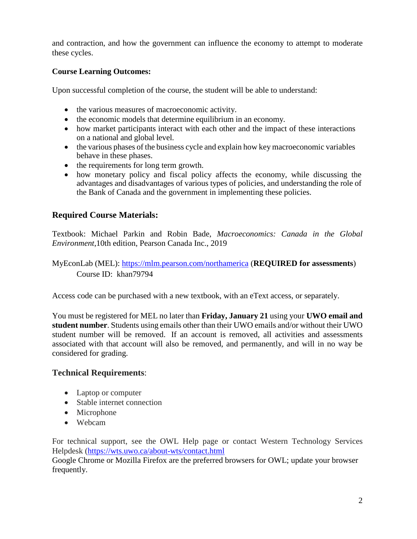and contraction, and how the government can influence the economy to attempt to moderate these cycles.

### **Course Learning Outcomes:**

Upon successful completion of the course, the student will be able to understand:

- the various measures of macroeconomic activity.
- the economic models that determine equilibrium in an economy.
- how market participants interact with each other and the impact of these interactions on a national and global level.
- the various phases of the business cycle and explain how key macroeconomic variables behave in these phases.
- the requirements for long term growth.
- how monetary policy and fiscal policy affects the economy, while discussing the advantages and disadvantages of various types of policies, and understanding the role of the Bank of Canada and the government in implementing these policies.

### **Required Course Materials:**

Textbook: Michael Parkin and Robin Bade, *Macroeconomics: Canada in the Global Environment*,10th edition, Pearson Canada Inc., 2019

MyEconLab (MEL):<https://mlm.pearson.com/northamerica> (**REQUIRED for assessments**) Course ID: khan79794

Access code can be purchased with a new textbook, with an eText access, or separately.

You must be registered for MEL no later than **Friday, January 21** using your **UWO email and student number**. Students using emails other than their UWO emails and/or without their UWO student number will be removed. If an account is removed, all activities and assessments associated with that account will also be removed, and permanently, and will in no way be considered for grading.

#### **Technical Requirements**:

- Laptop or computer
- Stable internet connection
- Microphone
- Webcam

For technical support, see the OWL Help page or contact Western Technology Services Helpdesk [\(https://wts.uwo.ca/about-wts/contact.html](https://wts.uwo.ca/about-wts/contact.html)

Google Chrome or Mozilla Firefox are the preferred browsers for OWL; update your browser frequently.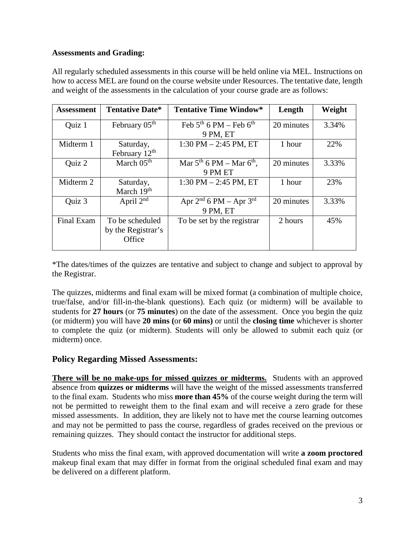#### **Assessments and Grading:**

All regularly scheduled assessments in this course will be held online via MEL. Instructions on how to access MEL are found on the course website under Resources. The tentative date, length and weight of the assessments in the calculation of your course grade are as follows:

| <b>Assessment</b> | <b>Tentative Date*</b>    | <b>Tentative Time Window*</b>      | Length     | Weight |
|-------------------|---------------------------|------------------------------------|------------|--------|
| Quiz 1            | February 05 <sup>th</sup> | Feb $5th$ 6 PM – Feb $6th$         | 20 minutes | 3.34%  |
|                   |                           | 9 PM, ET                           |            |        |
| Midterm 1         | Saturday,                 | $1:30$ PM $- 2:45$ PM, ET          | 1 hour     | 22%    |
|                   | February 12 <sup>th</sup> |                                    |            |        |
| Quiz 2            | March $05th$              | Mar $5^{th}$ 6 PM – Mar $6^{th}$ , | 20 minutes | 3.33%  |
|                   |                           | 9 PM ET                            |            |        |
| Midterm 2         | Saturday,                 | 1:30 PM $-$ 2:45 PM, ET            | 1 hour     | 23%    |
|                   | March 19 <sup>th</sup>    |                                    |            |        |
| Quiz 3            | April $2nd$               | Apr $2nd$ 6 PM – Apr $3rd$         | 20 minutes | 3.33%  |
|                   |                           | 9 PM, ET                           |            |        |
| <b>Final Exam</b> | To be scheduled           | To be set by the registrar         | 2 hours    | 45%    |
|                   | by the Registrar's        |                                    |            |        |
|                   | Office                    |                                    |            |        |
|                   |                           |                                    |            |        |

\*The dates/times of the quizzes are tentative and subject to change and subject to approval by the Registrar.

The quizzes, midterms and final exam will be mixed format (a combination of multiple choice, true/false, and/or fill-in-the-blank questions). Each quiz (or midterm) will be available to students for **27 hours** (or **75 minutes**) on the date of the assessment. Once you begin the quiz (or midterm) you will have **20 mins (**or **60 mins)** or until the **closing time** whichever is shorter to complete the quiz (or midterm). Students will only be allowed to submit each quiz (or midterm) once.

#### **Policy Regarding Missed Assessments:**

**There will be no make-ups for missed quizzes or midterms.** Students with an approved absence from **quizzes or midterms** will have the weight of the missed assessments transferred to the final exam. Students who miss **more than 45%** of the course weight during the term will not be permitted to reweight them to the final exam and will receive a zero grade for these missed assessments. In addition, they are likely not to have met the course learning outcomes and may not be permitted to pass the course, regardless of grades received on the previous or remaining quizzes. They should contact the instructor for additional steps.

Students who miss the final exam, with approved documentation will write **a zoom proctored** makeup final exam that may differ in format from the original scheduled final exam and may be delivered on a different platform.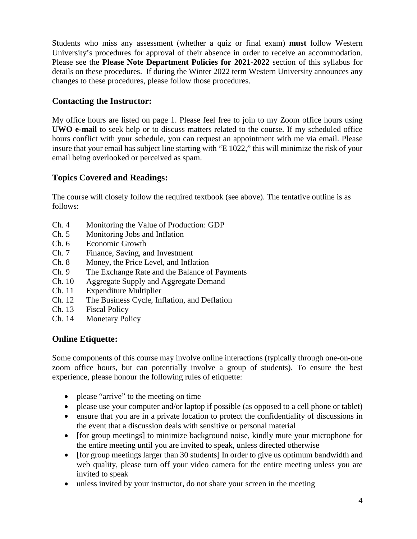Students who miss any assessment (whether a quiz or final exam) **must** follow Western University's procedures for approval of their absence in order to receive an accommodation. Please see the **Please Note Department Policies for 2021-2022** section of this syllabus for details on these procedures. If during the Winter 2022 term Western University announces any changes to these procedures, please follow those procedures.

## **Contacting the Instructor:**

My office hours are listed on page 1. Please feel free to join to my Zoom office hours using **UWO e-mail** to seek help or to discuss matters related to the course. If my scheduled office hours conflict with your schedule, you can request an appointment with me via email. Please insure that your email has subject line starting with "E 1022," this will minimize the risk of your email being overlooked or perceived as spam.

## **Topics Covered and Readings:**

The course will closely follow the required textbook (see above). The tentative outline is as follows:

- Ch. 4 Monitoring the Value of Production: GDP
- Ch. 5 Monitoring Jobs and Inflation
- Ch. 6 Economic Growth
- Ch. 7 Finance, Saving, and Investment
- Ch. 8 Money, the Price Level, and Inflation
- Ch. 9 The Exchange Rate and the Balance of Payments
- Ch. 10 Aggregate Supply and Aggregate Demand
- Ch. 11 Expenditure Multiplier
- Ch. 12 The Business Cycle, Inflation, and Deflation
- Ch. 13 Fiscal Policy
- Ch. 14 Monetary Policy

## **Online Etiquette:**

Some components of this course may involve online interactions (typically through one-on-one zoom office hours, but can potentially involve a group of students). To ensure the best experience, please honour the following rules of etiquette:

- please "arrive" to the meeting on time
- please use your computer and/or laptop if possible (as opposed to a cell phone or tablet)
- ensure that you are in a private location to protect the confidentiality of discussions in the event that a discussion deals with sensitive or personal material
- [for group meetings] to minimize background noise, kindly mute your microphone for the entire meeting until you are invited to speak, unless directed otherwise
- [for group meetings larger than 30 students] In order to give us optimum bandwidth and web quality, please turn off your video camera for the entire meeting unless you are invited to speak
- unless invited by your instructor, do not share your screen in the meeting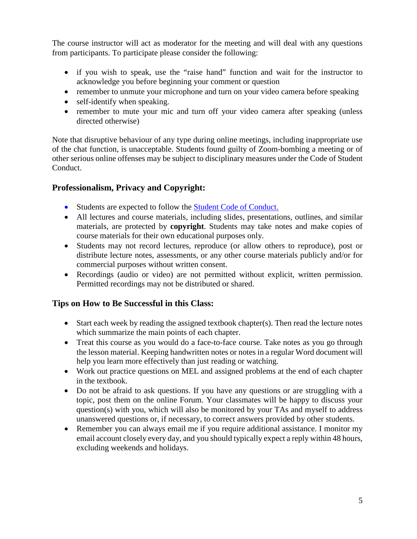The course instructor will act as moderator for the meeting and will deal with any questions from participants. To participate please consider the following:

- if you wish to speak, use the "raise hand" function and wait for the instructor to acknowledge you before beginning your comment or question
- remember to unmute your microphone and turn on your video camera before speaking
- self-identify when speaking.
- remember to mute your mic and turn off your video camera after speaking (unless directed otherwise)

Note that disruptive behaviour of any type during online meetings, including inappropriate use of the chat function, is unacceptable. Students found guilty of Zoom-bombing a meeting or of other serious online offenses may be subject to disciplinary measures under the Code of Student Conduct.

## **Professionalism, Privacy and Copyright:**

- Students are expected to follow the [Student Code of Conduct.](https://www.uwo.ca/univsec/pdf/board/code.pdf)
- All lectures and course materials, including slides, presentations, outlines, and similar materials, are protected by **copyright**. Students may take notes and make copies of course materials for their own educational purposes only.
- Students may not record lectures, reproduce (or allow others to reproduce), post or distribute lecture notes, assessments, or any other course materials publicly and/or for commercial purposes without written consent.
- Recordings (audio or video) are not permitted without explicit, written permission. Permitted recordings may not be distributed or shared.

## **Tips on How to Be Successful in this Class:**

- Start each week by reading the assigned textbook chapter(s). Then read the lecture notes which summarize the main points of each chapter.
- Treat this course as you would do a face-to-face course. Take notes as you go through the lesson material. Keeping handwritten notes or notes in a regular Word document will help you learn more effectively than just reading or watching.
- Work out practice questions on MEL and assigned problems at the end of each chapter in the textbook.
- Do not be afraid to ask questions. If you have any questions or are struggling with a topic, post them on the online Forum. Your classmates will be happy to discuss your question(s) with you, which will also be monitored by your TAs and myself to address unanswered questions or, if necessary, to correct answers provided by other students.
- Remember you can always email me if you require additional assistance. I monitor my email account closely every day, and you should typically expect a reply within 48 hours, excluding weekends and holidays.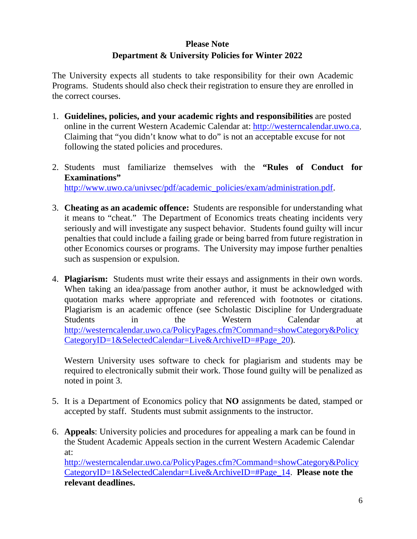## **Please Note Department & University Policies for Winter 2022**

The University expects all students to take responsibility for their own Academic Programs. Students should also check their registration to ensure they are enrolled in the correct courses.

- 1. **Guidelines, policies, and your academic rights and responsibilities** are posted online in the current Western Academic Calendar at: [http://westerncalendar.uwo.ca.](http://westerncalendar.uwo.ca/) Claiming that "you didn't know what to do" is not an acceptable excuse for not following the stated policies and procedures.
- 2. Students must familiarize themselves with the **"Rules of Conduct for Examinations"** [http://www.uwo.ca/univsec/pdf/academic\\_policies/exam/administration.pdf.](http://www.uwo.ca/univsec/pdf/academic_policies/exam/administration.pdf)
- 3. **Cheating as an academic offence:** Students are responsible for understanding what it means to "cheat." The Department of Economics treats cheating incidents very seriously and will investigate any suspect behavior. Students found guilty will incur penalties that could include a failing grade or being barred from future registration in other Economics courses or programs. The University may impose further penalties such as suspension or expulsion.
- 4. **Plagiarism:** Students must write their essays and assignments in their own words. When taking an idea/passage from another author, it must be acknowledged with quotation marks where appropriate and referenced with footnotes or citations. Plagiarism is an academic offence (see Scholastic Discipline for Undergraduate Students in the Western Calendar at [http://westerncalendar.uwo.ca/PolicyPages.cfm?Command=showCategory&Policy](http://westerncalendar.uwo.ca/PolicyPages.cfm?Command=showCategory&PolicyCategoryID=1&SelectedCalendar=Live&ArchiveID=#Page_20) [CategoryID=1&SelectedCalendar=Live&ArchiveID=#Page\\_20\)](http://westerncalendar.uwo.ca/PolicyPages.cfm?Command=showCategory&PolicyCategoryID=1&SelectedCalendar=Live&ArchiveID=#Page_20).

Western University uses software to check for plagiarism and students may be required to electronically submit their work. Those found guilty will be penalized as noted in point 3.

- 5. It is a Department of Economics policy that **NO** assignments be dated, stamped or accepted by staff. Students must submit assignments to the instructor.
- 6. **Appeals**: University policies and procedures for appealing a mark can be found in the Student Academic Appeals section in the current Western Academic Calendar at:

[http://westerncalendar.uwo.ca/PolicyPages.cfm?Command=showCategory&Policy](http://westerncalendar.uwo.ca/PolicyPages.cfm?Command=showCategory&PolicyCategoryID=1&SelectedCalendar=Live&ArchiveID=#Page_14) [CategoryID=1&SelectedCalendar=Live&ArchiveID=#Page\\_14.](http://westerncalendar.uwo.ca/PolicyPages.cfm?Command=showCategory&PolicyCategoryID=1&SelectedCalendar=Live&ArchiveID=#Page_14) **Please note the relevant deadlines.**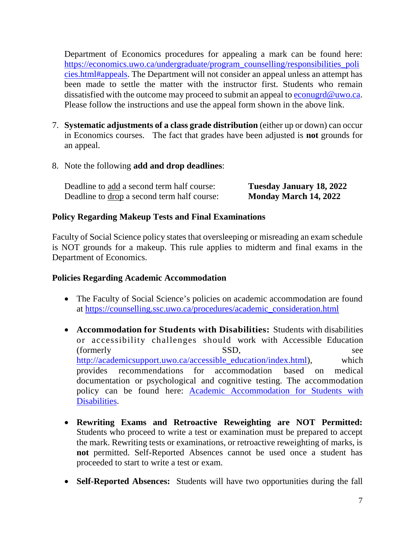Department of Economics procedures for appealing a mark can be found here: [https://economics.uwo.ca/undergraduate/program\\_counselling/responsibilities\\_poli](https://economics.uwo.ca/undergraduate/program_counselling/responsibilities_policies.html#appeals) [cies.html#appeals.](https://economics.uwo.ca/undergraduate/program_counselling/responsibilities_policies.html#appeals) The Department will not consider an appeal unless an attempt has been made to settle the matter with the instructor first. Students who remain dissatisfied with the outcome may proceed to submit an appeal to [econugrd@uwo.ca.](mailto:econugrd@uwo.ca) Please follow the instructions and use the appeal form shown in the above link.

- 7. **Systematic adjustments of a class grade distribution** (either up or down) can occur in Economics courses. The fact that grades have been adjusted is **not** grounds for an appeal.
- 8. Note the following **add and drop deadlines**:

| Deadline to add a second term half course:  | <b>Tuesday January 18, 2022</b> |
|---------------------------------------------|---------------------------------|
| Deadline to drop a second term half course: | Monday March 14, 2022           |

### **Policy Regarding Makeup Tests and Final Examinations**

Faculty of Social Science policy states that oversleeping or misreading an exam schedule is NOT grounds for a makeup. This rule applies to midterm and final exams in the Department of Economics.

#### **Policies Regarding Academic Accommodation**

- The Faculty of Social Science's policies on academic accommodation are found at [https://counselling.ssc.uwo.ca/procedures/academic\\_consideration.html](https://counselling.ssc.uwo.ca/procedures/academic_consideration.html)
- **Accommodation for Students with Disabilities:** Students with disabilities or accessibility challenges should work with Accessible Education (formerly SSD, see [http://academicsupport.uwo.ca/accessible\\_education/index.html\)](http://academicsupport.uwo.ca/accessible_education/index.html), which provides recommendations for accommodation based on medical documentation or psychological and cognitive testing. The accommodation policy can be found here: [Academic Accommodation for Students with](https://www.uwo.ca/univsec/pdf/academic_policies/appeals/Academic%20Accommodation_disabilities.pdf)  [Disabilities.](https://www.uwo.ca/univsec/pdf/academic_policies/appeals/Academic%20Accommodation_disabilities.pdf)
- **Rewriting Exams and Retroactive Reweighting are NOT Permitted:** Students who proceed to write a test or examination must be prepared to accept the mark. Rewriting tests or examinations, or retroactive reweighting of marks, is **not** permitted. Self-Reported Absences cannot be used once a student has proceeded to start to write a test or exam.
- **Self-Reported Absences:** Students will have two opportunities during the fall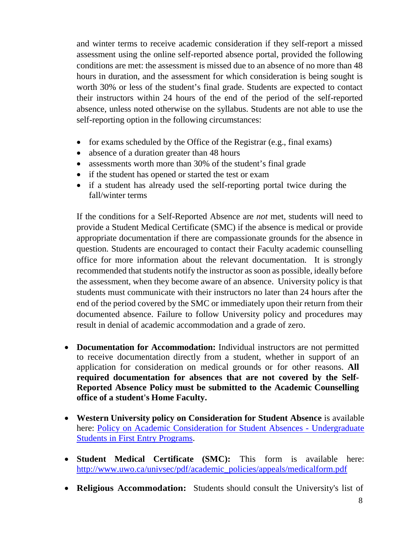and winter terms to receive academic consideration if they self-report a missed assessment using the online self-reported absence portal, provided the following conditions are met: the assessment is missed due to an absence of no more than 48 hours in duration, and the assessment for which consideration is being sought is worth 30% or less of the student's final grade. Students are expected to contact their instructors within 24 hours of the end of the period of the self-reported absence, unless noted otherwise on the syllabus. Students are not able to use the self-reporting option in the following circumstances:

- for exams scheduled by the Office of the Registrar (e.g., final exams)
- absence of a duration greater than 48 hours
- assessments worth more than 30% of the student's final grade
- if the student has opened or started the test or exam
- if a student has already used the self-reporting portal twice during the fall/winter terms

If the conditions for a Self-Reported Absence are *not* met, students will need to provide a Student Medical Certificate (SMC) if the absence is medical or provide appropriate documentation if there are compassionate grounds for the absence in question. Students are encouraged to contact their Faculty academic counselling office for more information about the relevant documentation. It is strongly recommended that students notify the instructor as soon as possible, ideally before the assessment, when they become aware of an absence. University policy is that students must communicate with their instructors no later than 24 hours after the end of the period covered by the SMC or immediately upon their return from their documented absence. Failure to follow University policy and procedures may result in denial of academic accommodation and a grade of zero.

- **Documentation for Accommodation:** Individual instructors are not permitted to receive documentation directly from a student, whether in support of an application for consideration on medical grounds or for other reasons. **All required documentation for absences that are not covered by the Self-Reported Absence Policy must be submitted to the Academic Counselling office of a student's Home Faculty.**
- **Western University policy on Consideration for Student Absence** is available here: [Policy on Academic Consideration for Student Absences -](https://www.uwo.ca/univsec/pdf/academic_policies/appeals/accommodation_illness.pdf) Undergraduate [Students in First Entry Programs.](https://www.uwo.ca/univsec/pdf/academic_policies/appeals/accommodation_illness.pdf)
- **Student Medical Certificate (SMC):** This form is available here: [http://www.uwo.ca/univsec/pdf/academic\\_policies/appeals/medicalform.pdf](http://www.uwo.ca/univsec/pdf/academic_policies/appeals/medicalform.pdf)
- **Religious Accommodation:** Students should consult the University's list of